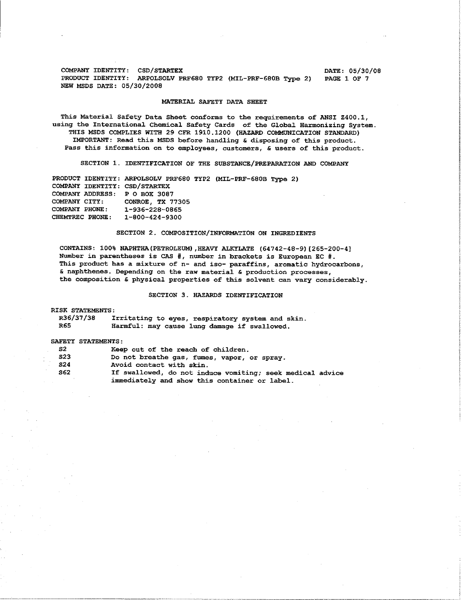**COMPANY IDENTITY: CSD/STARTEX DATE: 05/30/08 PRODUCT IDENTITY: ARPOLSOLV PRF680 TYPZ (MIL-PRF-68OB Type 2) PAGE 1 OF 7 NEWMSDS DATE: 05/30/2008** 

## **MATERIAL SAFETY DATA SHEET**

**This Material Safety Data Sheet conforms to the requirements of ANSI 2400.1, using the International Chemical Safety Cards of the Global Harmonizing System. THIS MSDS COMPLIES WITH 29 CFR 1910.1200 (HAZARD COMMUNICATION STANDARD) IMPORTANT: Read this MSDS before handling S disposing of this product. Pass this information on to employees, customers,** & **users of this product.** 

**SECTION 1. IDENTIFICATION OF THE SUBSTANCE/PREPARATION AND COMPANY** 

**PRODUCT IDENTITY: ARPOLSOLV PRF680 TYP2 (MIL-PRF-68OB Type 2) COMPANY IDENTITY: CSD/STARTEX COMPANY ADDRESS: P 0 BOX 3087 COMPANY CITY: CONROE, TX 77305 COMPANY PHONE: 1-936-228-0865 CHEMTREC PHONE: 1-800-424-9300** 

# **SECTION 2. COMPOSITION/INFORMATION ON INGREDIENTS**

**CONTAINS: 100% NAPHTHA(PETR0LEUM) ,HEAVY ALKYLATE (64742-48-9) [265-200-41 Number in parentheses is CAS** #, **number in brackets is European EC** #. **This product has a mixture of n- and iso- paraffins, aromatic hydrocarbons, 6 naphthenes. Depending on the raw material** & **production processes, the composition** & **physical properties of this solvent can vary considerably.** 

# **SECTION 3. HAZARDS IDENTIFICATION**

**I RISK STATEMENTS:** 

| R36/37/38 | Irritating to eyes, respiratory system and skin. |  |
|-----------|--------------------------------------------------|--|
| R65       | Harmful: may cause lung damage if swallowed.     |  |

#### **SAFETY STATEMENTS** :

| S2         | Keep out of the reach of children.                        |
|------------|-----------------------------------------------------------|
| S23        | Do not breathe gas, fumes, vapor, or spray.               |
| <b>S24</b> | Avoid contact with skin.                                  |
| S62        | If swallowed, do not induce vomiting; seek medical advice |
|            | immediately and show this container or label.             |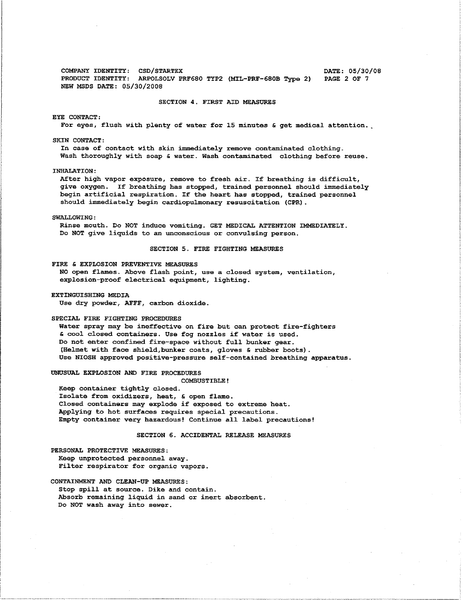**COMPANY IDENTITY: CSD/STARTEX**<br>**PRODUCT IDENTITY: ARPOLSOLV PRF680 TYP2 (MIL-PRF-680B Tvpe 2) PAGE 2 OF 7 PRODUCT IDENTITY: ARPOLSOLV PRF680 TYP2 (MIL-PRF-680B Type 2) NEW MSDS DATE: 05/30/2008** 

**SECTION 4. FIRST AID MEASURES** 

**EYE CONTACT:** 

**For eyes, flush with plenty of water for 15 minutes 6 get medical attention.** 

**SKIN CONTACT:** 

**In case of contact with skin immediately remove contaminated clothing. Wash thoroughly with soap 6 water. Wash contaminated clothing before reuse.** 

**INHALATION:** 

**After high vapor exposure, remove to fresh air. If breathing is difficult, give oxygen. If breathing has stopped, trained personnel should immediately begin artificial respiration. If the heart has stopped, trained personnel should immediately begin cardiopulmonary resuscitation (CPR).** 

**SWALLOWING:** 

**Rinse mouth. Do NOT induce vomiting. GET MEDICAL ATTENTION IMMEDIATELY. Do NOT give liquids to an unconscious or convulsing person.** 

### **SECTION 5. FIRE FIGHTING MEASURES**

**FIRE 6 EXPLOSION PREVENTIVE MEASURES** 

**NO open flames. Above flash point, use a closed system, ventilation, explosion-proof electrical equipment, lighting.** 

**EXTINGUISHING MEDIA** 

**Use dry powder, AFFF, carbon dioxide** 

**SPECIAL FIRE FIGHTING PROCEDURES** 

**Water spray may be ineffective on fire but can protect fire-fighters 6 cool closed containers. Use fog nozzles if water is used. Do not enter confined fire-space without full bunker gear. (Helmet with face shield,bunker coats, gloves 6 rubber boots). Use NIOSH approved positive-pressure self-contained breathing apparatus.** 

**UNUSUAL EXPLOSION AND FIRE PROCEDURES** 

**COMBUSTIBLE!** 

**Keep container tightly closed. Isolate from oxidizers, heat, 6 open flame. Closed containers may explode if exposed to extreme heat. Applying to hot surfaces requires special precautions. Empty container very hazardous! Continue all label precautions!** 

# **SECTION 6. ACCIDENTAL RELEASE MEASURES**

**PERSONAL PROTECTIVE MEASURES: Keep unprotected personnel away. Filter respirator for organic vapors.** 

**CONTAINMENT AND CLEAN-UP MEASURES: Stop spill at source. Dike and contain. Absorb remaining liquid in sand or inert absorbent. Do NOT wash away into sewer.**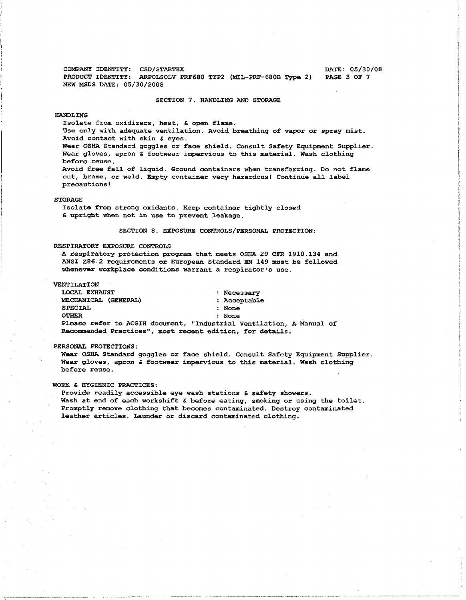**COMPANY IDENTITY: CSD/STARTEX COMPANY DATE: 05/30/08 PRODUCT IDENTITY: ARPOLSOLV PRF680 TYP2** (MIL-PRF-680B Type 2) **PAGE 3 OF 7 PRODUCT IDENTITY: ARPOLSOLV PRF680 TYP2 (MIL-PRF-680B Type 2) NEW MSDS DATE: 05/30/2008** 

#### **SECTION 7. HANDLING AND STORAGE**

## **HANDLING**

**Isolate from oxidizers, heat,** & **open flame.** 

**Use only with adequate ventilation. Avoid breathing of vapor or spray mist. Avoid contact with skin 6 eyes.** 

**Wear OSHA Standard goggles or face shield. Consult Safety Equipment Supplier. Wear gloves, apron 6 footwear impervious to this material. Wash clothing before reuse.** 

**Avoid free fall of liquid. Ground containers when transferring. Do not flame cut, braze, or weld. Empty container very hazardous! Continue all label precautions!** 

#### **STORAGE**

**Isolate from strong oxidants. Keep container tightly closed 6 upright when not in use to prevent leakage.** 

# **SECTION 8. EXPOSURE CONTROLS/PERSONAL PROTECTION:**

## **RESPIRATORY EXPOSURE CONTROLS**

**A respiratory protection program that meets OSHA 29 CFR 1910.134 and ANSI 286.2 requirements or European Standard EN 149 must be followed whenever workplace conditions warrant a respirator's use.** 

## **VENTILATION**

| <b>INTILATION</b>                                         |                                                                      |  |
|-----------------------------------------------------------|----------------------------------------------------------------------|--|
| <b>LOCAL EXHAUST</b>                                      | : Necessary                                                          |  |
| MECHANICAL (GENERAL)                                      | : Acceptable                                                         |  |
| SPECIAL                                                   | : None                                                               |  |
| <b>OTHER</b>                                              | : None                                                               |  |
|                                                           | Please refer to ACGIH document, "Industrial Ventilation, A Manual of |  |
| Recommended Practices", most recent edition, for details. |                                                                      |  |

#### **PERSONAL PROTECTIONS** :

**Wear OSHA Standard goggles or face shield. Consult Safety Equipment Supplier. Wear gloves, apron** & **footwear impervious to this material. Wash clothing before reuse.** 

# **WORK** & **HYGIENIC PRACTICES:**

**Provide readily accessible eye wash stations 6 safety showers. Wash at end of each workshift** & **before eating, smoking or using the toilet. Promptly remove clothing that becomes contaminated. Destroy contaminated leather articles. Launder or discard contaminated clothing.**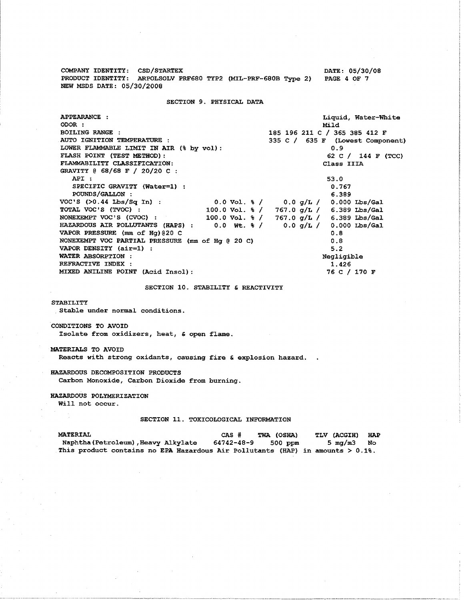<sup>1</sup>**COMPANY IDENTITY: CSD/STARTEX DATE: 05/30/08**  <sup>1</sup>**PRODUCT IDENTITY: ARPOLSOLV PRF680 TYP2 (MIL-PRF-680B Type 2) PAGE 4 OF 7**  I **NEW MSDS DATE: 05/30/2008** 

SECTION 9. PHYSICAL DATA

| APPEARANCE :                                                                      | Liquid, Water-White                                             |  |
|-----------------------------------------------------------------------------------|-----------------------------------------------------------------|--|
| ODOR :                                                                            | Mild                                                            |  |
| <b>BOILING RANGE :</b>                                                            | 185 196 211 C / 365 385 412 F                                   |  |
| AUTO IGNITION TEMPERATURE :                                                       | 335 C / 635 F (Lowest Component)                                |  |
| LOWER FLAMMABLE LIMIT IN AIR (% by vol):                                          | 0.9                                                             |  |
| FLASH POINT (TEST METHOD):                                                        | 62 C / 144 F (TCC)                                              |  |
| FLAMMABILITY CLASSIFICATION:                                                      | Class IIIA                                                      |  |
| GRAVITY @ 68/68 F / 20/20 C :                                                     |                                                                 |  |
| API:                                                                              | 53.0                                                            |  |
| SPECIFIC GRAVITY (Water=1) :                                                      | 0.767                                                           |  |
| POUNDS/GALLON :                                                                   | 6.389                                                           |  |
| $VOC'S$ $(>0.44$ $Lbs/Sq$ $In)$ :                                                 | $0.0 \text{ Vol. } 3 / 0.0 \text{ g/L} / 0.000 \text{ Lbs/Gal}$ |  |
| TOTAL VOC'S (TVOC) :<br>100.0 Vol. % /                                            | $767.0$ q/L / 6.389 Lbs/Gal                                     |  |
| NONEXEMPT VOC'S (CVOC) : 100.0 Vol. $\frac{1}{2}$ / 767.0 q/L / 6.389 Lbs/Gal     |                                                                 |  |
| HAZARDOUS AIR POLLUTANTS (HAPS) : 0.0 Wt. $\frac{1}{6}$ / 0.0 q/L / 0.000 Lbs/Gal |                                                                 |  |
| VAPOR PRESSURE (mm of Hq) @20 C                                                   | 0.8                                                             |  |
| NONEXEMPT VOC PARTIAL PRESSURE (mm of Hg @ 20 C)                                  | 0.8                                                             |  |
| VAPOR DENSITY $(air=1)$ :                                                         | 5.2                                                             |  |
| WATER ABSORPTION :                                                                | Negligible                                                      |  |
| REFRACTIVE INDEX :                                                                | 1.426                                                           |  |
| MIXED ANILINE POINT (Acid Insol):                                                 | 76 C / 170 F                                                    |  |

**SECTION 10. STABILITY 6 REACTIVITY** 

# **STABILITY**

**Stable under normal conditions** 

**CONDITIONS TO AVOID Isolate from oxidizers, heat, 6 open flame.** 

# **MATERIALS TO AVOID**

**Reacts with strong oxidants, causing fire 6 explosion hazard.** .

# **HAZARDOUS DECOMPOSITION PRODUCTS**

**Carbon Monoxide, Carbon Dioxide from burning.** 

# **HAZARDOUS POLYMERIZATION**

**Will not occur.** 

# **SECTION 11. TOXICOLOGICAL INFORMATION**

| MATERIAL                                                                       | CAS #      | TWA (OSHA) | <b>TLV (ACGIH)</b> | HAP |
|--------------------------------------------------------------------------------|------------|------------|--------------------|-----|
| Naphtha (Petroleum), Heavy Alkylate                                            | 64742-48-9 | 500 ppm    | 5 mg/m3 No         |     |
| This product contains no EPA Hazardous Air Pollutants (HAP) in amounts > 0.1%. |            |            |                    |     |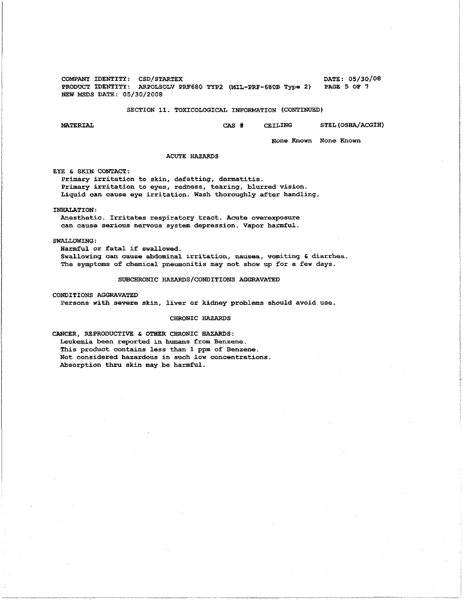**COMPANY IDENTITY: CSD/STARTEX COMPANY IDENTITY: CSD/STARTEX DATE: 05/30/08 PRODUCT IDENTITY: ARPOLSOLV PRF680 TYP2** (MIL-PRF-680B Type 2) **PAGE 5 OF 7 PRODUCT IDENTITY:** ARPOLSOLV PRF680 TYP2 (MIL-PRF-680B Type 2) **NEW MSDS DATE: 05/30/2008** 

# **SECTION 11. TOXICOLOGICAL INFORMATION (CONTINUED)**

**MATERIAL** Crrs # **CEILING STEL (OSHA/ACGIH)** 

**None Known None Known** 

## **ACUTE HAZARDS**

**EYE** & **SKIN CONTACT:** 

**Primary irritation to skin, defatting, dermatitis. Primary irritation to eyes, redness, tearing, blurred vision. Liquid can cause eye irritation. Wash thoroughly after handling.** 

**INHALATION:** 

**Anesthetic. Irritates respiratory tract. Acute overexposure can cause serious nervous system depression. Vapor harmful.** 

## **SWALLOWING:**

**Harmful or fatal if swallowed. Swallowing can cause abdominal irritation, nausea, vomiting 6 diarrhea. The symptoms of chemical pneumonitis may not show up for a few days.** 

## **SUBCHRONIC HAZARDS/CONDITIONS AGGRAVATED**

**CONDITIONS AGGRAVATED** 

**Persons with severe skin, liver or kidney problems should avoid use,** 

## **CHRONIC HAZARDS**

**CANCER, REPRODUCTIVE h OTHER CHRONIC HAZARDS: Leukemia been reported in humans from Benzene. This product contains less than 1 ppm of Benzene. Not considered hazardous in such low concentrations. Absorption thru skin may be harmful.**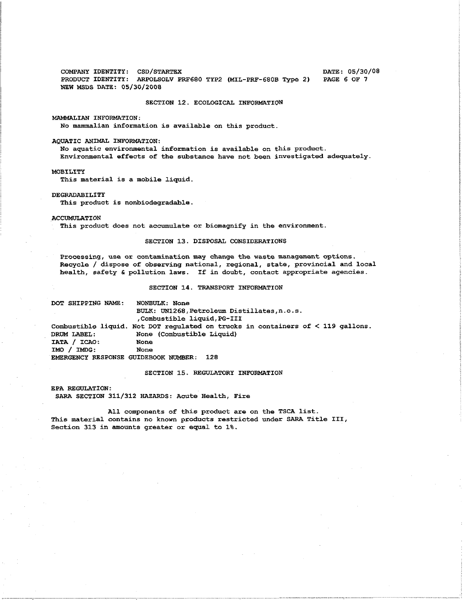**COMPANY IDENTITY: CSD/STARTEX DATE: 05/30/08 PRODUCT IDENTITY: ARPOLSOLV PRF680 TYP2 (MIL-PRF-680B Type 2) NEW MSDS DATE: 05/30/2008** 

#### **SECTION 12. ECOLOGICAL INFORMATION**

**MAMMALIAN INFORMATION:** 

**No mammalian information is available on this product.** 

#### **AQUATIC ANIMAL INFORMATION:**

**No aquatic environmental information is available on this product. Environmental effects of the substance have not been investigated adequately.** 

**MOBILITY** 

**This material is a mobile liquid.** 

#### **DEGRADABILITY**

**This product is nonbiodegradable** 

#### **ACCUMULATION**

**This product does not accumulate or biomagnify in the environment.** 

# **SECTION 13. DISPOSAL CONSIDERATIONS**

**Processing, use or contamination may change the waste management options. Recycle** / **dispose of observing national, regional, state, provincial and local health, safety 6 pollution laws. If in doubt, contact appropriate agencies.** 

## **SECTION 14. TRANSPORT INFORMATION**

**DOT SHIPPING NAME: NONBULK: None BULK: UN1268,Petroleum Distillates,n.o.s. ,Combustible liquid,PG-I11 Combustible liquid. Not DOT regulated on trucks in containers of** < **119 gallons. DRUM LABEL:** None (Combustible Liquid) **IATA** / **ICAO: None IMO** / **IMDG: None EMERGENCY RESPONSE GUIDEBOOK NUMBER: 128** 

#### **SECTION 15. REGULATORY INFORMATION**

**EPA REGULATION: SARA SECTION 311/312 HAZARDS: Acute Health, Fire** 

**All components of this product are on the TSCA list. This material contains no known products restricted under SARA Title 111, Section 313 in amounts greater or equal to 1%.**